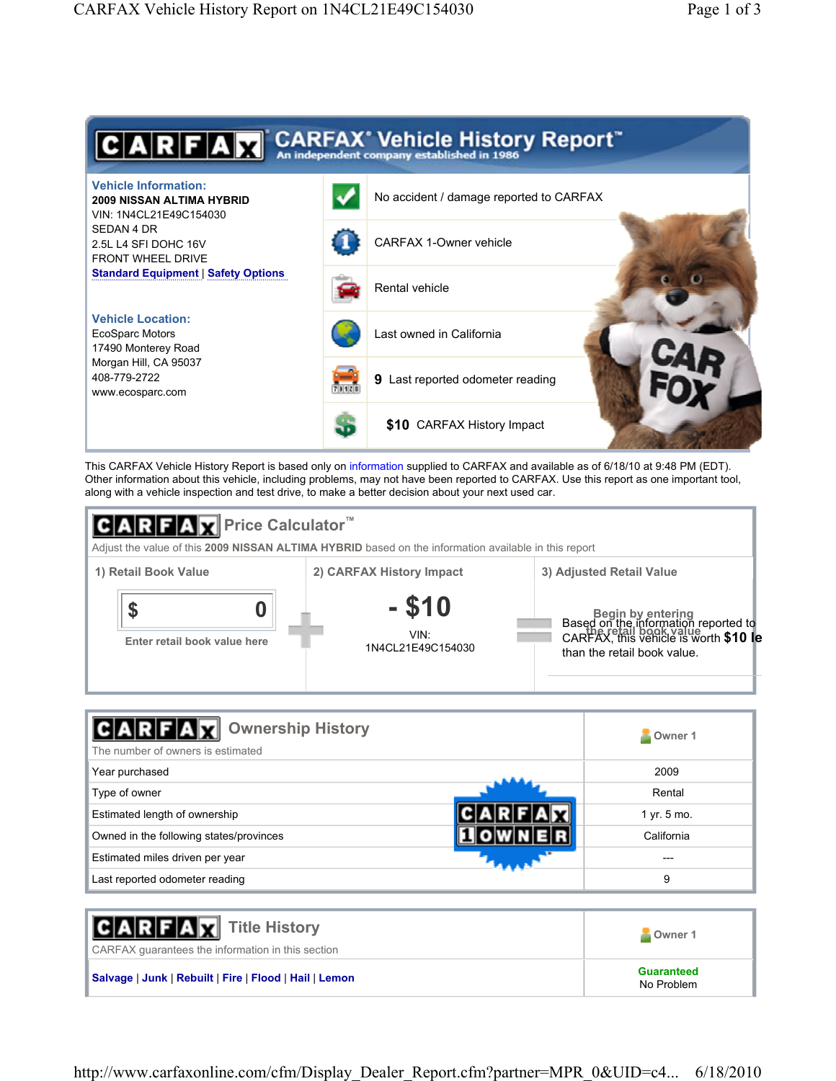

This CARFAX Vehicle History Report is based only on information supplied to CARFAX and available as of 6/18/10 at 9:48 PM (EDT). Other information about this vehicle, including problems, may not have been reported to CARFAX. Use this report as one important tool, along with a vehicle inspection and test drive, to make a better decision about your next used car.



| <b>Ownership History</b><br>The number of owners is estimated | Owner 1     |
|---------------------------------------------------------------|-------------|
| Year purchased                                                | 2009        |
| Type of owner                                                 | Rental      |
| Estimated length of ownership                                 | 1 yr. 5 mo. |
| Owned in the following states/provinces                       | California  |
| Estimated miles driven per year                               |             |
| Last reported odometer reading                                | 9           |

| <b>CARFAX</b> Title History<br>CARFAX quarantees the information in this section | Owner 1                         |
|----------------------------------------------------------------------------------|---------------------------------|
| Salvage   Junk   Rebuilt   Fire   Flood   Hail   Lemon                           | <b>Guaranteed</b><br>No Problem |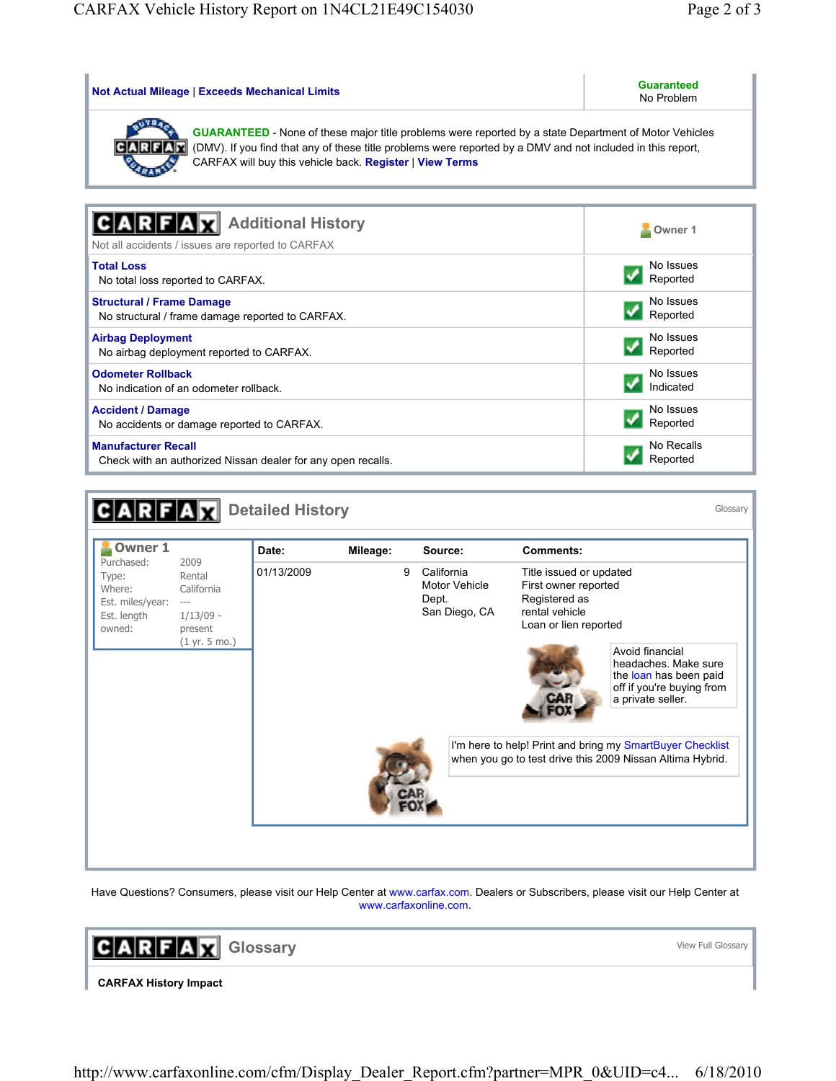| <b>Not Actual Mileage   Exceeds Mechanical Limits</b>                                                                                                                                                                                                                                     | <b>Guaranteed</b><br>No Problem |
|-------------------------------------------------------------------------------------------------------------------------------------------------------------------------------------------------------------------------------------------------------------------------------------------|---------------------------------|
| GUARANTEED - None of these major title problems were reported by a state Department of Motor Vehicles<br>(DMV). If you find that any of these title problems were reported by a DMV and not included in this report,<br>CARFA<br>CARFAX will buy this vehicle back. Register   View Terms |                                 |
| <b>Additional History</b><br>Not all accidents / issues are reported to CARFAX                                                                                                                                                                                                            | Owner 1                         |
| <b>Total Loss</b>                                                                                                                                                                                                                                                                         | No Issues                       |
| No total loss reported to CARFAX.                                                                                                                                                                                                                                                         | Reported                        |
| <b>Structural / Frame Damage</b>                                                                                                                                                                                                                                                          | No Issues                       |
| No structural / frame damage reported to CARFAX.                                                                                                                                                                                                                                          | Reported                        |
| <b>Airbag Deployment</b>                                                                                                                                                                                                                                                                  | No Issues                       |
| No airbag deployment reported to CARFAX.                                                                                                                                                                                                                                                  | Reported                        |
| <b>Odometer Rollback</b>                                                                                                                                                                                                                                                                  | No Issues                       |
| No indication of an odometer rollback.                                                                                                                                                                                                                                                    | Indicated                       |
| <b>Accident / Damage</b>                                                                                                                                                                                                                                                                  | No Issues                       |
| No accidents or damage reported to CARFAX.                                                                                                                                                                                                                                                | Reported                        |
| <b>Manufacturer Recall</b>                                                                                                                                                                                                                                                                | No Recalls                      |
| Check with an authorized Nissan dealer for any open recalls.                                                                                                                                                                                                                              | Reported                        |

| <b>Owner 1</b>                                                             |                                                                                  | Date:      | Mileage: | Source:                                               | <b>Comments:</b>                                                                                                       |                                                                                                                     |  |
|----------------------------------------------------------------------------|----------------------------------------------------------------------------------|------------|----------|-------------------------------------------------------|------------------------------------------------------------------------------------------------------------------------|---------------------------------------------------------------------------------------------------------------------|--|
| Purchased:<br>Type:<br>Where:<br>Est. miles/year:<br>Est. length<br>owned: | 2009<br>Rental<br>California<br>$---$<br>$1/13/09$ -<br>present<br>(1 yr. 5 mo.) | 01/13/2009 | 9        | California<br>Motor Vehicle<br>Dept.<br>San Diego, CA | Title issued or updated<br>First owner reported<br>Registered as<br>rental vehicle<br>Loan or lien reported            | Avoid financial<br>headaches. Make sure<br>the loan has been paid<br>off if you're buying from<br>a private seller. |  |
|                                                                            |                                                                                  |            |          |                                                       | I'm here to help! Print and bring my SmartBuyer Checklist<br>when you go to test drive this 2009 Nissan Altima Hybrid. |                                                                                                                     |  |

Have Questions? Consumers, please visit our Help Center at www.carfax.com. Dealers or Subscribers, please visit our Help Center at www.carfaxonline.com.

**GARFAX** Glossary

View Full Glossary

**CARFAX History Impact**